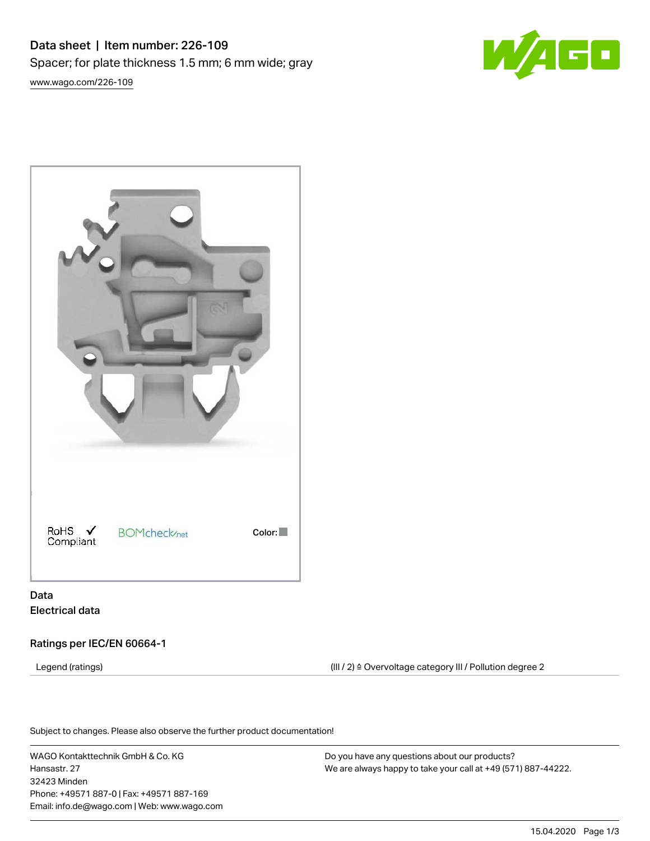Data sheet | Item number: 226-109 Spacer; for plate thickness 1.5 mm; 6 mm wide; gray [www.wago.com/226-109](http://www.wago.com/226-109)





# Data Electrical data

## Ratings per IEC/EN 60664-1

Legend (ratings) (III / 2) ≙ Overvoltage category III / Pollution degree 2

Subject to changes. Please also observe the further product documentation!

WAGO Kontakttechnik GmbH & Co. KG Hansastr. 27 32423 Minden Phone: +49571 887-0 | Fax: +49571 887-169 Email: info.de@wago.com | Web: www.wago.com

Do you have any questions about our products? We are always happy to take your call at +49 (571) 887-44222.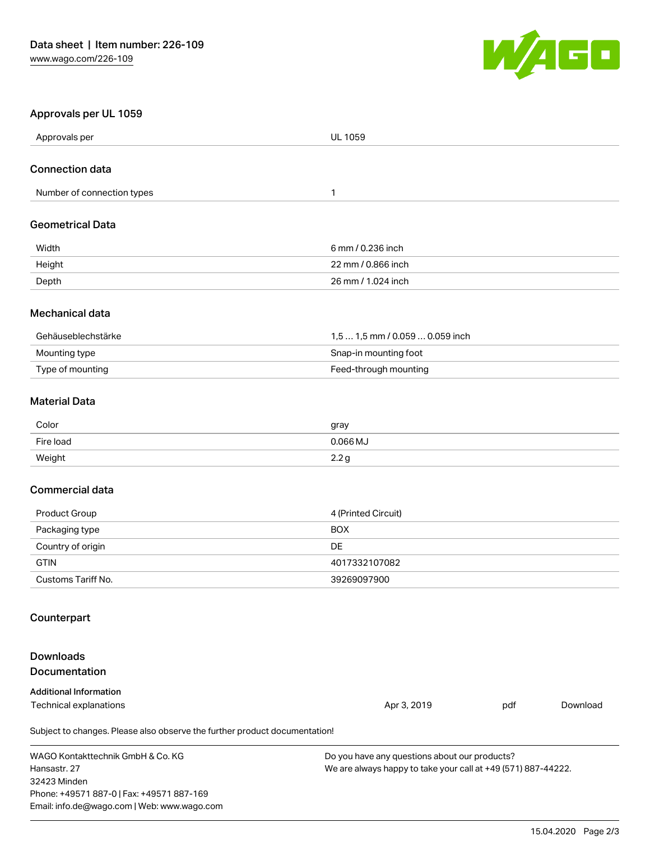

### Approvals per UL 1059

| Approvals per              | <b>UL 1059</b>                  |  |
|----------------------------|---------------------------------|--|
| <b>Connection data</b>     |                                 |  |
| Number of connection types | 1                               |  |
| <b>Geometrical Data</b>    |                                 |  |
| Width                      | 6 mm / 0.236 inch               |  |
| Height                     | 22 mm / 0.866 inch              |  |
| Depth                      | 26 mm / 1.024 inch              |  |
| Mechanical data            |                                 |  |
| Gehäuseblechstärke         | 1,5  1,5 mm / 0.059  0.059 inch |  |
| Mounting type              | Snap-in mounting foot           |  |

#### Material Data

| Color     | gray     |
|-----------|----------|
| Fire load | 0.066 MJ |
| Weight    | ب ے.ے    |

Type of mounting Feed-through mounting Feed-through mounting

### Commercial data

| Product Group      | 4 (Printed Circuit) |
|--------------------|---------------------|
| Packaging type     | <b>BOX</b>          |
| Country of origin  | DE                  |
| <b>GTIN</b>        | 4017332107082       |
| Customs Tariff No. | 39269097900         |

#### Counterpart

## Downloads Documentation

#### Additional Information

Technical explanations and political explanations and political explanations and political explanations and political explanations and political explanations and political explanations and political explanations and politi

[Download](https://www.wago.com/de/d/1435602)

Subject to changes. Please also observe the further product documentation!

WAGO Kontakttechnik GmbH & Co. KG Hansastr. 27 32423 Minden Phone: +49571 887-0 | Fax: +49571 887-169 Email: info.de@wago.com | Web: www.wago.com

Do you have any questions about our products? We are always happy to take your call at +49 (571) 887-44222.